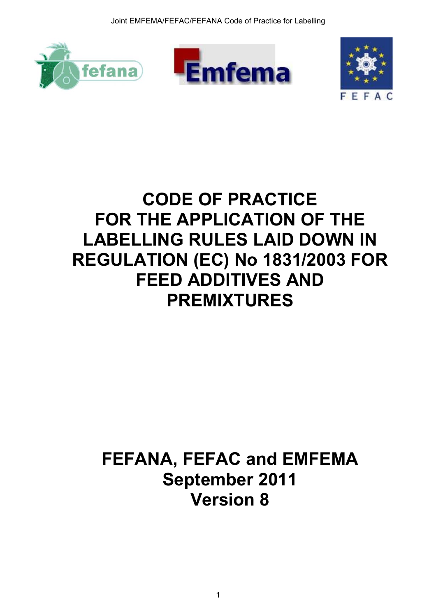





# **CODE OF PRACTICE FOR THE APPLICATION OF THE LABELLING RULES LAID DOWN IN REGULATION (EC) No 1831/2003 FOR FEED ADDITIVES AND PREMIXTURES**

# **FEFANA, FEFAC and EMFEMA September 2011 Version 8**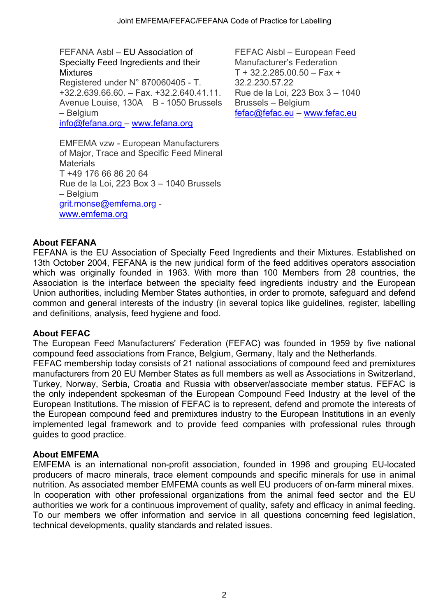FEFANA Asbl – EU Association of Specialty Feed Ingredients and their **Mixtures** Registered under N° 870060405 - T. +32.2.639.66.60. – Fax. +32.2.640.41.11. Avenue Louise, 130A B - 1050 Brussels – Belgium [info@fefana.org](mailto:info@fefana.org) – [www.fefana.org](http://www.fefana.org/)

FEFAC Aisbl – European Feed Manufacturer's Federation  $T + 32.2.285.00.50 - Fax +$ 32.2.230.57.22 Rue de la Loi, 223 Box 3 – 1040 Brussels – Belgium [fefac@fefac.eu](mailto:fefac@fefac.eu) – [www.fefac.eu](http://www.fefac.eu/)

EMFEMA vzw - European Manufacturers of Major, Trace and Specific Feed Mineral **Materials** T +49 176 66 86 20 64 Rue de la Loi, 223 Box 3 – 1040 Brussels – Belgium grit.monse@emfema.org [www.emfema.org](http://www.emfema.org/)

#### **About FEFANA**

FEFANA is the EU Association of Specialty Feed Ingredients and their Mixtures. Established on 13th October 2004, FEFANA is the new juridical form of the feed additives operators association which was originally founded in 1963. With more than 100 Members from 28 countries, the Association is the interface between the specialty feed ingredients industry and the European Union authorities, including Member States authorities, in order to promote, safeguard and defend common and general interests of the industry (in several topics like guidelines, register, labelling and definitions, analysis, feed hygiene and food.

#### **About FEFAC**

The European Feed Manufacturers' Federation (FEFAC) was founded in 1959 by five national compound feed associations from France, Belgium, Germany, Italy and the Netherlands.

FEFAC membership today consists of 21 national associations of compound feed and premixtures manufacturers from 20 EU Member States as full members as well as Associations in Switzerland, Turkey, Norway, Serbia, Croatia and Russia with observer/associate member status. FEFAC is the only independent spokesman of the European Compound Feed Industry at the level of the European Institutions. The mission of FEFAC is to represent, defend and promote the interests of the European compound feed and premixtures industry to the European Institutions in an evenly implemented legal framework and to provide feed companies with professional rules through guides to good practice.

#### **About EMFEMA**

EMFEMA is an international non-profit association, founded in 1996 and grouping EU-located producers of macro minerals, trace element compounds and specific minerals for use in animal nutrition. As associated member EMFEMA counts as well EU producers of on-farm mineral mixes. In cooperation with other professional organizations from the animal feed sector and the EU authorities we work for a continuous improvement of quality, safety and efficacy in animal feeding. To our members we offer information and service in all questions concerning feed legislation, technical developments, quality standards and related issues.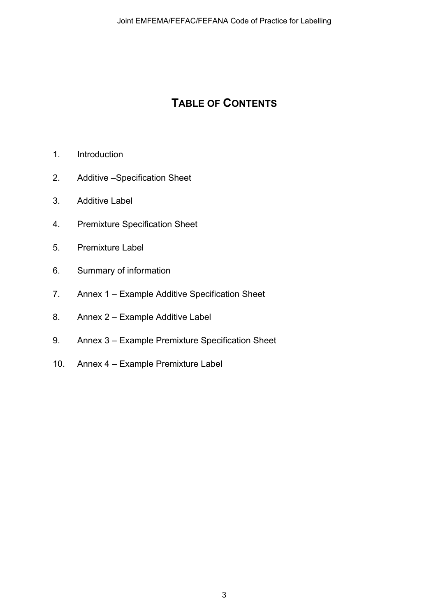## **TABLE OF CONTENTS**

- 1. Introduction
- 2. Additive –Specification Sheet
- 3. Additive Label
- 4. Premixture Specification Sheet
- 5. Premixture Label
- 6. Summary of information
- 7. Annex 1 Example Additive Specification Sheet
- 8. Annex 2 Example Additive Label
- 9. Annex 3 Example Premixture Specification Sheet
- 10. Annex 4 Example Premixture Label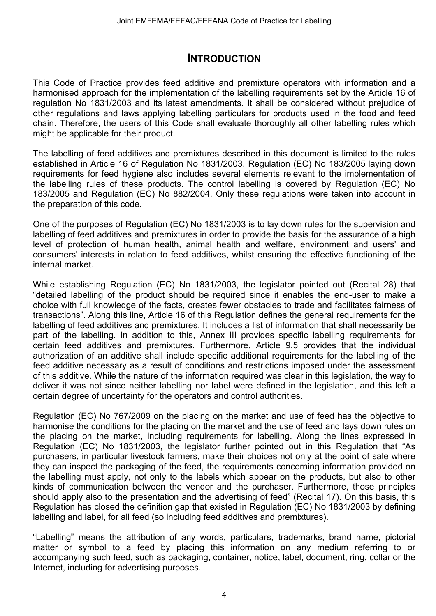### **INTRODUCTION**

This Code of Practice provides feed additive and premixture operators with information and a harmonised approach for the implementation of the labelling requirements set by the Article 16 of regulation No 1831/2003 and its latest amendments. It shall be considered without prejudice of other regulations and laws applying labelling particulars for products used in the food and feed chain. Therefore, the users of this Code shall evaluate thoroughly all other labelling rules which might be applicable for their product.

The labelling of feed additives and premixtures described in this document is limited to the rules established in Article 16 of Regulation No 1831/2003. Regulation (EC) No 183/2005 laying down requirements for feed hygiene also includes several elements relevant to the implementation of the labelling rules of these products. The control labelling is covered by Regulation (EC) No 183/2005 and Regulation (EC) No 882/2004. Only these regulations were taken into account in the preparation of this code.

One of the purposes of Regulation (EC) No 1831/2003 is to lay down rules for the supervision and labelling of feed additives and premixtures in order to provide the basis for the assurance of a high level of protection of human health, animal health and welfare, environment and users' and consumers' interests in relation to feed additives, whilst ensuring the effective functioning of the internal market.

While establishing Regulation (EC) No 1831/2003, the legislator pointed out (Recital 28) that "detailed labelling of the product should be required since it enables the end-user to make a choice with full knowledge of the facts, creates fewer obstacles to trade and facilitates fairness of transactions". Along this line, Article 16 of this Regulation defines the general requirements for the labelling of feed additives and premixtures. It includes a list of information that shall necessarily be part of the labelling. In addition to this, Annex III provides specific labelling requirements for certain feed additives and premixtures. Furthermore, Article 9.5 provides that the individual authorization of an additive shall include specific additional requirements for the labelling of the feed additive necessary as a result of conditions and restrictions imposed under the assessment of this additive. While the nature of the information required was clear in this legislation, the way to deliver it was not since neither labelling nor label were defined in the legislation, and this left a certain degree of uncertainty for the operators and control authorities.

Regulation (EC) No 767/2009 on the placing on the market and use of feed has the objective to harmonise the conditions for the placing on the market and the use of feed and lays down rules on the placing on the market, including requirements for labelling. Along the lines expressed in Regulation (EC) No 1831/2003, the legislator further pointed out in this Regulation that "As purchasers, in particular livestock farmers, make their choices not only at the point of sale where they can inspect the packaging of the feed, the requirements concerning information provided on the labelling must apply, not only to the labels which appear on the products, but also to other kinds of communication between the vendor and the purchaser. Furthermore, those principles should apply also to the presentation and the advertising of feed" (Recital 17). On this basis, this Regulation has closed the definition gap that existed in Regulation (EC) No 1831/2003 by defining labelling and label, for all feed (so including feed additives and premixtures).

"Labelling" means the attribution of any words, particulars, trademarks, brand name, pictorial matter or symbol to a feed by placing this information on any medium referring to or accompanying such feed, such as packaging, container, notice, label, document, ring, collar or the Internet, including for advertising purposes.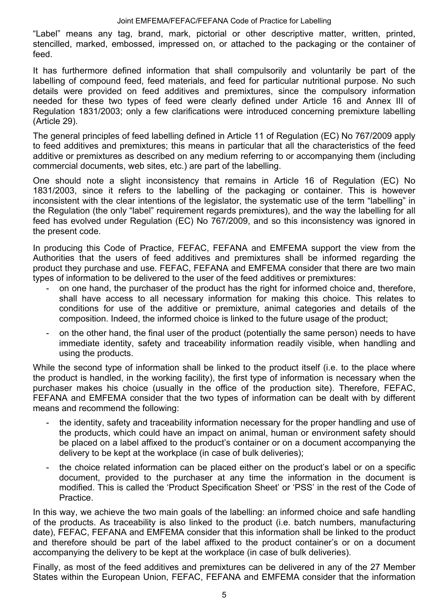"Label" means any tag, brand, mark, pictorial or other descriptive matter, written, printed, stencilled, marked, embossed, impressed on, or attached to the packaging or the container of feed.

It has furthermore defined information that shall compulsorily and voluntarily be part of the labelling of compound feed, feed materials, and feed for particular nutritional purpose. No such details were provided on feed additives and premixtures, since the compulsory information needed for these two types of feed were clearly defined under Article 16 and Annex III of Regulation 1831/2003; only a few clarifications were introduced concerning premixture labelling (Article 29).

The general principles of feed labelling defined in Article 11 of Regulation (EC) No 767/2009 apply to feed additives and premixtures; this means in particular that all the characteristics of the feed additive or premixtures as described on any medium referring to or accompanying them (including commercial documents, web sites, etc.) are part of the labelling.

One should note a slight inconsistency that remains in Article 16 of Regulation (EC) No 1831/2003, since it refers to the labelling of the packaging or container. This is however inconsistent with the clear intentions of the legislator, the systematic use of the term "labelling" in the Regulation (the only "label" requirement regards premixtures), and the way the labelling for all feed has evolved under Regulation (EC) No 767/2009, and so this inconsistency was ignored in the present code.

In producing this Code of Practice, FEFAC, FEFANA and EMFEMA support the view from the Authorities that the users of feed additives and premixtures shall be informed regarding the product they purchase and use. FEFAC, FEFANA and EMFEMA consider that there are two main types of information to be delivered to the user of the feed additives or premixtures:

- on one hand, the purchaser of the product has the right for informed choice and, therefore, shall have access to all necessary information for making this choice. This relates to conditions for use of the additive or premixture, animal categories and details of the composition. Indeed, the informed choice is linked to the future usage of the product;
- on the other hand, the final user of the product (potentially the same person) needs to have immediate identity, safety and traceability information readily visible, when handling and using the products.

While the second type of information shall be linked to the product itself (i.e. to the place where the product is handled, in the working facility), the first type of information is necessary when the purchaser makes his choice (usually in the office of the production site). Therefore, FEFAC, FEFANA and EMFEMA consider that the two types of information can be dealt with by different means and recommend the following:

- the identity, safety and traceability information necessary for the proper handling and use of the products, which could have an impact on animal, human or environment safety should be placed on a label affixed to the product's container or on a document accompanying the delivery to be kept at the workplace (in case of bulk deliveries);
- the choice related information can be placed either on the product's label or on a specific document, provided to the purchaser at any time the information in the document is modified. This is called the 'Product Specification Sheet' or 'PSS' in the rest of the Code of Practice.

In this way, we achieve the two main goals of the labelling: an informed choice and safe handling of the products. As traceability is also linked to the product (i.e. batch numbers, manufacturing date), FEFAC, FEFANA and EMFEMA consider that this information shall be linked to the product and therefore should be part of the label affixed to the product container's or on a document accompanying the delivery to be kept at the workplace (in case of bulk deliveries).

Finally, as most of the feed additives and premixtures can be delivered in any of the 27 Member States within the European Union, FEFAC, FEFANA and EMFEMA consider that the information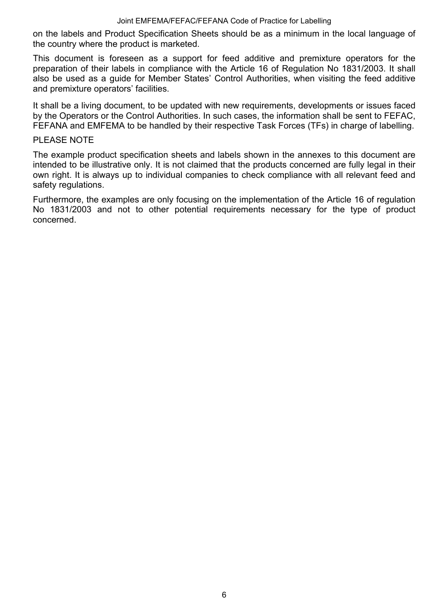on the labels and Product Specification Sheets should be as a minimum in the local language of the country where the product is marketed.

This document is foreseen as a support for feed additive and premixture operators for the preparation of their labels in compliance with the Article 16 of Regulation No 1831/2003. It shall also be used as a guide for Member States' Control Authorities, when visiting the feed additive and premixture operators' facilities.

It shall be a living document, to be updated with new requirements, developments or issues faced by the Operators or the Control Authorities. In such cases, the information shall be sent to FEFAC, FEFANA and EMFEMA to be handled by their respective Task Forces (TFs) in charge of labelling.

#### PLEASE NOTE

The example product specification sheets and labels shown in the annexes to this document are intended to be illustrative only. It is not claimed that the products concerned are fully legal in their own right. It is always up to individual companies to check compliance with all relevant feed and safety regulations.

Furthermore, the examples are only focusing on the implementation of the Article 16 of regulation No 1831/2003 and not to other potential requirements necessary for the type of product concerned.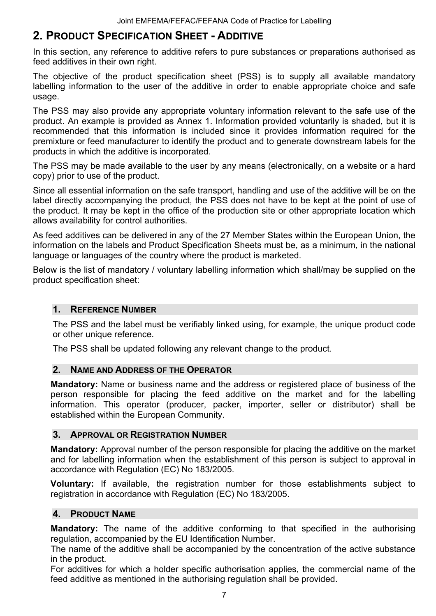## **2. PRODUCT SPECIFICATION SHEET - ADDITIVE**

In this section, any reference to additive refers to pure substances or preparations authorised as feed additives in their own right.

The objective of the product specification sheet (PSS) is to supply all available mandatory labelling information to the user of the additive in order to enable appropriate choice and safe usage.

The PSS may also provide any appropriate voluntary information relevant to the safe use of the product. An example is provided as Annex 1. Information provided voluntarily is shaded, but it is recommended that this information is included since it provides information required for the premixture or feed manufacturer to identify the product and to generate downstream labels for the products in which the additive is incorporated.

The PSS may be made available to the user by any means (electronically, on a website or a hard copy) prior to use of the product.

Since all essential information on the safe transport, handling and use of the additive will be on the label directly accompanying the product, the PSS does not have to be kept at the point of use of the product. It may be kept in the office of the production site or other appropriate location which allows availability for control authorities.

As feed additives can be delivered in any of the 27 Member States within the European Union, the information on the labels and Product Specification Sheets must be, as a minimum, in the national language or languages of the country where the product is marketed.

Below is the list of mandatory / voluntary labelling information which shall/may be supplied on the product specification sheet:

#### **1. REFERENCE NUMBER**

The PSS and the label must be verifiably linked using, for example, the unique product code or other unique reference.

The PSS shall be updated following any relevant change to the product.

#### **2. NAME AND ADDRESS OF THE OPERATOR**

**Mandatory:** Name or business name and the address or registered place of business of the person responsible for placing the feed additive on the market and for the labelling information. This operator (producer, packer, importer, seller or distributor) shall be established within the European Community.

#### **3. APPROVAL OR REGISTRATION NUMBER**

**Mandatory:** Approval number of the person responsible for placing the additive on the market and for labelling information when the establishment of this person is subject to approval in accordance with Regulation (EC) No 183/2005.

**Voluntary:** If available, the registration number for those establishments subject to registration in accordance with Regulation (EC) No 183/2005.

#### **4. PRODUCT NAME**

**Mandatory:** The name of the additive conforming to that specified in the authorising regulation, accompanied by the EU Identification Number.

The name of the additive shall be accompanied by the concentration of the active substance in the product.

For additives for which a holder specific authorisation applies, the commercial name of the feed additive as mentioned in the authorising regulation shall be provided.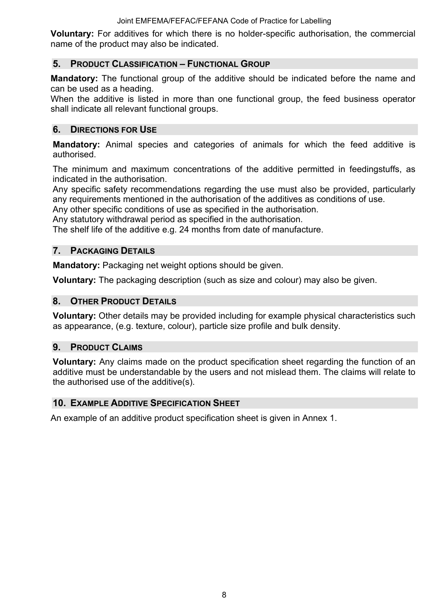**Voluntary:** For additives for which there is no holder-specific authorisation, the commercial name of the product may also be indicated.

#### **5. PRODUCT CLASSIFICATION – FUNCTIONAL GROUP**

**Mandatory:** The functional group of the additive should be indicated before the name and can be used as a heading.

When the additive is listed in more than one functional group, the feed business operator shall indicate all relevant functional groups.

#### **6. DIRECTIONS FOR USE**

**Mandatory:** Animal species and categories of animals for which the feed additive is authorised.

The minimum and maximum concentrations of the additive permitted in feedingstuffs, as indicated in the authorisation.

Any specific safety recommendations regarding the use must also be provided, particularly any requirements mentioned in the authorisation of the additives as conditions of use.

Any other specific conditions of use as specified in the authorisation.

Any statutory withdrawal period as specified in the authorisation.

The shelf life of the additive e.g. 24 months from date of manufacture.

#### **7. PACKAGING DETAILS**

**Mandatory:** Packaging net weight options should be given.

**Voluntary:** The packaging description (such as size and colour) may also be given.

#### **8. OTHER PRODUCT DETAILS**

**Voluntary:** Other details may be provided including for example physical characteristics such as appearance, (e.g. texture, colour), particle size profile and bulk density.

#### **9. PRODUCT CLAIMS**

**Voluntary:** Any claims made on the product specification sheet regarding the function of an additive must be understandable by the users and not mislead them. The claims will relate to the authorised use of the additive(s).

#### **10. EXAMPLE ADDITIVE SPECIFICATION SHEET**

An example of an additive product specification sheet is given in Annex 1.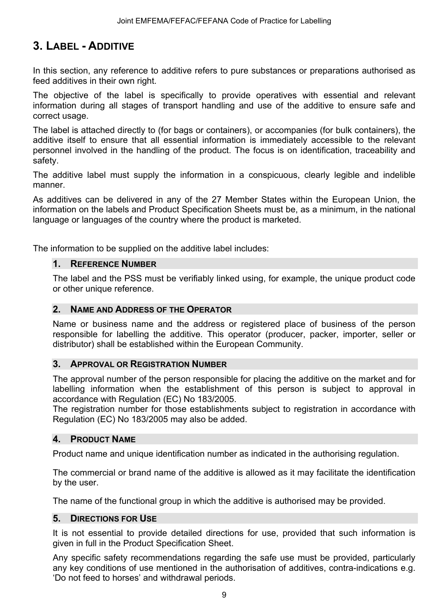## **3. LABEL - ADDITIVE**

In this section, any reference to additive refers to pure substances or preparations authorised as feed additives in their own right.

The objective of the label is specifically to provide operatives with essential and relevant information during all stages of transport handling and use of the additive to ensure safe and correct usage.

The label is attached directly to (for bags or containers), or accompanies (for bulk containers), the additive itself to ensure that all essential information is immediately accessible to the relevant personnel involved in the handling of the product. The focus is on identification, traceability and safety.

The additive label must supply the information in a conspicuous, clearly legible and indelible manner.

As additives can be delivered in any of the 27 Member States within the European Union, the information on the labels and Product Specification Sheets must be, as a minimum, in the national language or languages of the country where the product is marketed.

The information to be supplied on the additive label includes:

#### **1. REFERENCE NUMBER**

The label and the PSS must be verifiably linked using, for example, the unique product code or other unique reference.

#### **2. NAME AND ADDRESS OF THE OPERATOR**

Name or business name and the address or registered place of business of the person responsible for labelling the additive. This operator (producer, packer, importer, seller or distributor) shall be established within the European Community.

#### **3. APPROVAL OR REGISTRATION NUMBER**

The approval number of the person responsible for placing the additive on the market and for labelling information when the establishment of this person is subject to approval in accordance with Regulation (EC) No 183/2005.

The registration number for those establishments subject to registration in accordance with Regulation (EC) No 183/2005 may also be added.

#### **4. PRODUCT NAME**

Product name and unique identification number as indicated in the authorising regulation.

The commercial or brand name of the additive is allowed as it may facilitate the identification by the user.

The name of the functional group in which the additive is authorised may be provided.

#### **5. DIRECTIONS FOR USE**

It is not essential to provide detailed directions for use, provided that such information is given in full in the Product Specification Sheet.

Any specific safety recommendations regarding the safe use must be provided, particularly any key conditions of use mentioned in the authorisation of additives, contra-indications e.g. 'Do not feed to horses' and withdrawal periods.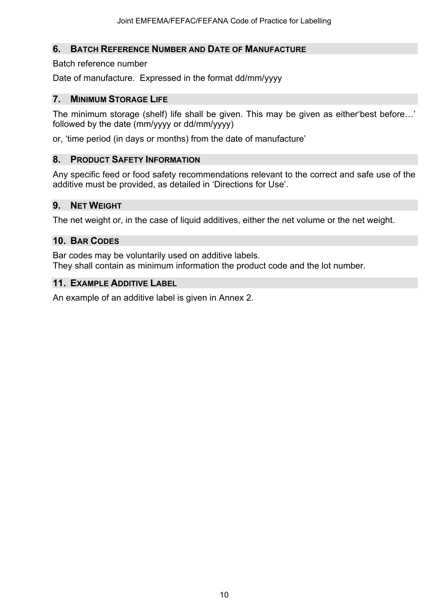#### **6. BATCH REFERENCE NUMBER AND DATE OF MANUFACTURE**

#### Batch reference number

Date of manufacture. Expressed in the format dd/mm/yyyy

#### **7. MINIMUM STORAGE LIFE**

The minimum storage (shelf) life shall be given. This may be given as either'best before…' followed by the date (mm/yyyy or dd/mm/yyyy)

or, 'time period (in days or months) from the date of manufacture'

#### **8. PRODUCT SAFETY INFORMATION**

Any specific feed or food safety recommendations relevant to the correct and safe use of the additive must be provided, as detailed in 'Directions for Use'.

#### **9. NET WEIGHT**

The net weight or, in the case of liquid additives, either the net volume or the net weight.

#### **10. BAR CODES**

Bar codes may be voluntarily used on additive labels. They shall contain as minimum information the product code and the lot number.

#### **11. EXAMPLE ADDITIVE LABEL**

An example of an additive label is given in Annex 2.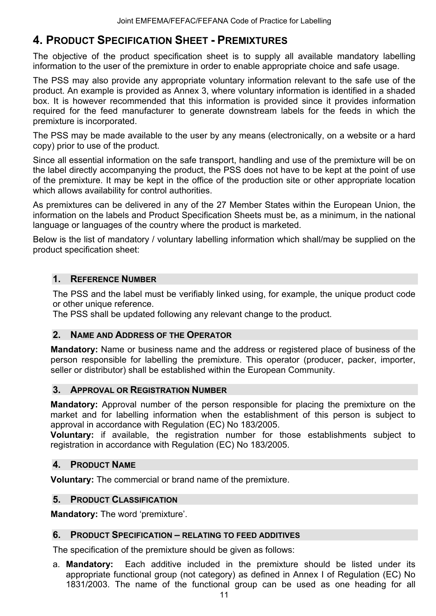### **4. PRODUCT SPECIFICATION SHEET - PREMIXTURES**

The objective of the product specification sheet is to supply all available mandatory labelling information to the user of the premixture in order to enable appropriate choice and safe usage.

The PSS may also provide any appropriate voluntary information relevant to the safe use of the product. An example is provided as Annex 3, where voluntary information is identified in a shaded box. It is however recommended that this information is provided since it provides information required for the feed manufacturer to generate downstream labels for the feeds in which the premixture is incorporated.

The PSS may be made available to the user by any means (electronically, on a website or a hard copy) prior to use of the product.

Since all essential information on the safe transport, handling and use of the premixture will be on the label directly accompanying the product, the PSS does not have to be kept at the point of use of the premixture. It may be kept in the office of the production site or other appropriate location which allows availability for control authorities.

As premixtures can be delivered in any of the 27 Member States within the European Union, the information on the labels and Product Specification Sheets must be, as a minimum, in the national language or languages of the country where the product is marketed.

Below is the list of mandatory / voluntary labelling information which shall/may be supplied on the product specification sheet:

#### **1. REFERENCE NUMBER**

The PSS and the label must be verifiably linked using, for example, the unique product code or other unique reference.

The PSS shall be updated following any relevant change to the product.

#### **2. NAME AND ADDRESS OF THE OPERATOR**

**Mandatory:** Name or business name and the address or registered place of business of the person responsible for labelling the premixture. This operator (producer, packer, importer, seller or distributor) shall be established within the European Community.

#### **3. APPROVAL OR REGISTRATION NUMBER**

**Mandatory:** Approval number of the person responsible for placing the premixture on the market and for labelling information when the establishment of this person is subject to approval in accordance with Regulation (EC) No 183/2005.

**Voluntary:** if available, the registration number for those establishments subject to registration in accordance with Regulation (EC) No 183/2005.

#### **4. PRODUCT NAME**

**Voluntary:** The commercial or brand name of the premixture.

#### **5. PRODUCT CLASSIFICATION**

**Mandatory:** The word 'premixture'.

#### **6. PRODUCT SPECIFICATION – RELATING TO FEED ADDITIVES**

The specification of the premixture should be given as follows:

a. **Mandatory:** Each additive included in the premixture should be listed under its appropriate functional group (not category) as defined in Annex I of Regulation (EC) No 1831/2003. The name of the functional group can be used as one heading for all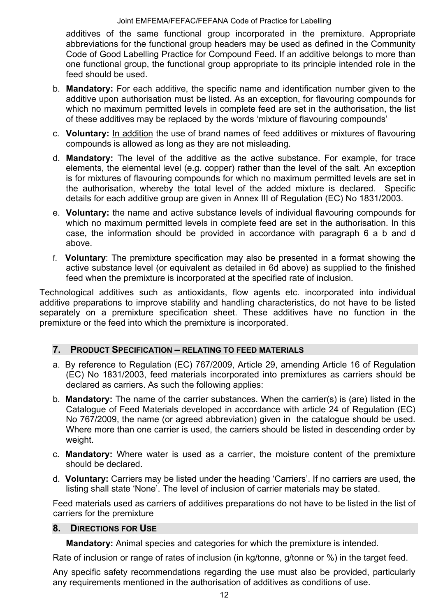additives of the same functional group incorporated in the premixture. Appropriate abbreviations for the functional group headers may be used as defined in the Community Code of Good Labelling Practice for Compound Feed. If an additive belongs to more than one functional group, the functional group appropriate to its principle intended role in the feed should be used.

- b. **Mandatory:** For each additive, the specific name and identification number given to the additive upon authorisation must be listed. As an exception, for flavouring compounds for which no maximum permitted levels in complete feed are set in the authorisation, the list of these additives may be replaced by the words 'mixture of flavouring compounds'
- c. **Voluntary:** In addition the use of brand names of feed additives or mixtures of flavouring compounds is allowed as long as they are not misleading.
- d. **Mandatory:** The level of the additive as the active substance. For example, for trace elements, the elemental level (e.g. copper) rather than the level of the salt. An exception is for mixtures of flavouring compounds for which no maximum permitted levels are set in the authorisation, whereby the total level of the added mixture is declared. Specific details for each additive group are given in Annex III of Regulation (EC) No 1831/2003.
- e. **Voluntary:** the name and active substance levels of individual flavouring compounds for which no maximum permitted levels in complete feed are set in the authorisation. In this case, the information should be provided in accordance with paragraph 6 a b and d above.
- f. **Voluntary**: The premixture specification may also be presented in a format showing the active substance level (or equivalent as detailed in 6d above) as supplied to the finished feed when the premixture is incorporated at the specified rate of inclusion.

Technological additives such as antioxidants, flow agents etc. incorporated into individual additive preparations to improve stability and handling characteristics, do not have to be listed separately on a premixture specification sheet. These additives have no function in the premixture or the feed into which the premixture is incorporated.

#### **7. PRODUCT SPECIFICATION – RELATING TO FEED MATERIALS**

- a. By reference to Regulation (EC) 767/2009, Article 29, amending Article 16 of Regulation (EC) No 1831/2003, feed materials incorporated into premixtures as carriers should be declared as carriers. As such the following applies:
- b. **Mandatory:** The name of the carrier substances. When the carrier(s) is (are) listed in the Catalogue of Feed Materials developed in accordance with article 24 of Regulation (EC) No 767/2009, the name (or agreed abbreviation) given in the catalogue should be used. Where more than one carrier is used, the carriers should be listed in descending order by weight.
- c. **Mandatory:** Where water is used as a carrier, the moisture content of the premixture should be declared.
- d. **Voluntary:** Carriers may be listed under the heading 'Carriers'. If no carriers are used, the listing shall state 'None'. The level of inclusion of carrier materials may be stated.

Feed materials used as carriers of additives preparations do not have to be listed in the list of carriers for the premixture

#### **8. DIRECTIONS FOR USE**

**Mandatory:** Animal species and categories for which the premixture is intended.

Rate of inclusion or range of rates of inclusion (in kg/tonne, g/tonne or %) in the target feed.

Any specific safety recommendations regarding the use must also be provided, particularly any requirements mentioned in the authorisation of additives as conditions of use.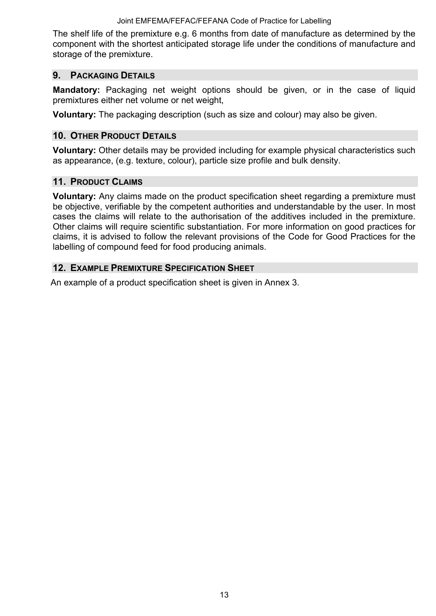The shelf life of the premixture e.g. 6 months from date of manufacture as determined by the component with the shortest anticipated storage life under the conditions of manufacture and storage of the premixture.

#### **9. PACKAGING DETAILS**

**Mandatory:** Packaging net weight options should be given, or in the case of liquid premixtures either net volume or net weight,

**Voluntary:** The packaging description (such as size and colour) may also be given.

#### **10. OTHER PRODUCT DETAILS**

**Voluntary:** Other details may be provided including for example physical characteristics such as appearance, (e.g. texture, colour), particle size profile and bulk density.

#### **11. PRODUCT CLAIMS**

**Voluntary:** Any claims made on the product specification sheet regarding a premixture must be objective, verifiable by the competent authorities and understandable by the user. In most cases the claims will relate to the authorisation of the additives included in the premixture. Other claims will require scientific substantiation. For more information on good practices for claims, it is advised to follow the relevant provisions of the Code for Good Practices for the labelling of compound feed for food producing animals.

#### **12. EXAMPLE PREMIXTURE SPECIFICATION SHEET**

An example of a product specification sheet is given in Annex 3.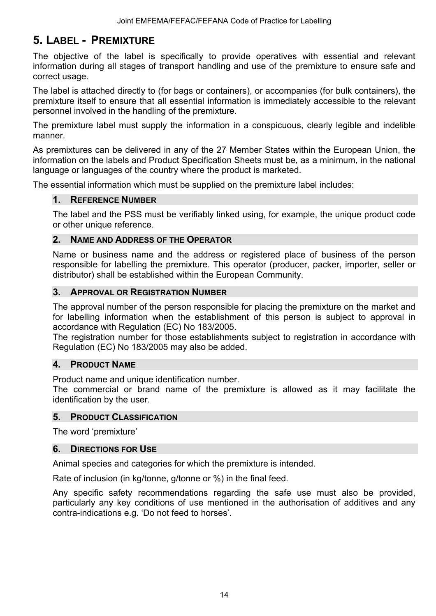## **5. LABEL - PREMIXTURE**

The objective of the label is specifically to provide operatives with essential and relevant information during all stages of transport handling and use of the premixture to ensure safe and correct usage.

The label is attached directly to (for bags or containers), or accompanies (for bulk containers), the premixture itself to ensure that all essential information is immediately accessible to the relevant personnel involved in the handling of the premixture.

The premixture label must supply the information in a conspicuous, clearly legible and indelible manner.

As premixtures can be delivered in any of the 27 Member States within the European Union, the information on the labels and Product Specification Sheets must be, as a minimum, in the national language or languages of the country where the product is marketed.

The essential information which must be supplied on the premixture label includes:

#### **1. REFERENCE NUMBER**

The label and the PSS must be verifiably linked using, for example, the unique product code or other unique reference.

#### **2. NAME AND ADDRESS OF THE OPERATOR**

Name or business name and the address or registered place of business of the person responsible for labelling the premixture. This operator (producer, packer, importer, seller or distributor) shall be established within the European Community.

#### **3. APPROVAL OR REGISTRATION NUMBER**

The approval number of the person responsible for placing the premixture on the market and for labelling information when the establishment of this person is subject to approval in accordance with Regulation (EC) No 183/2005.

The registration number for those establishments subject to registration in accordance with Regulation (EC) No 183/2005 may also be added.

#### **4. PRODUCT NAME**

Product name and unique identification number.

The commercial or brand name of the premixture is allowed as it may facilitate the identification by the user.

#### **5. PRODUCT CLASSIFICATION**

The word 'premixture'

#### **6. DIRECTIONS FOR USE**

Animal species and categories for which the premixture is intended.

Rate of inclusion (in kg/tonne, g/tonne or %) in the final feed.

Any specific safety recommendations regarding the safe use must also be provided, particularly any key conditions of use mentioned in the authorisation of additives and any contra-indications e.g. 'Do not feed to horses'.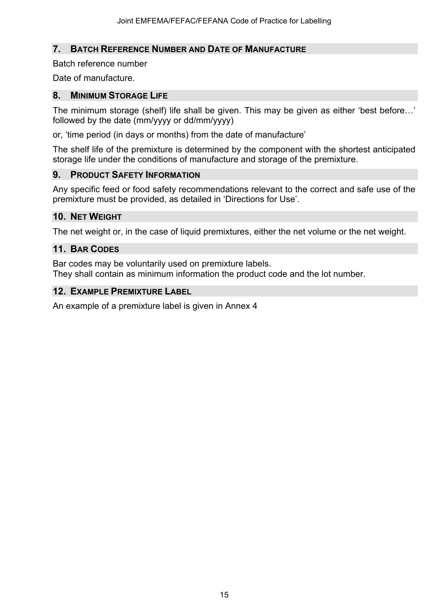#### **7. BATCH REFERENCE NUMBER AND DATE OF MANUFACTURE**

Batch reference number

Date of manufacture.

#### **8. MINIMUM STORAGE LIFE**

The minimum storage (shelf) life shall be given. This may be given as either 'best before…' followed by the date (mm/yyyy or dd/mm/yyyy)

or, 'time period (in days or months) from the date of manufacture'

The shelf life of the premixture is determined by the component with the shortest anticipated storage life under the conditions of manufacture and storage of the premixture.

#### **9. PRODUCT SAFETY INFORMATION**

Any specific feed or food safety recommendations relevant to the correct and safe use of the premixture must be provided, as detailed in 'Directions for Use'.

#### **10. NET WEIGHT**

The net weight or, in the case of liquid premixtures, either the net volume or the net weight.

#### **11. BAR CODES**

Bar codes may be voluntarily used on premixture labels. They shall contain as minimum information the product code and the lot number.

#### **12. EXAMPLE PREMIXTURE LABEL**

An example of a premixture label is given in Annex 4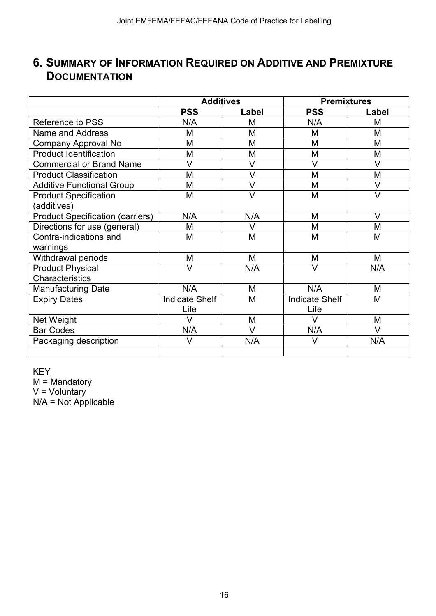## **6. SUMMARY OF INFORMATION REQUIRED ON ADDITIVE AND PREMIXTURE DOCUMENTATION**

|                                         | <b>Additives</b>      |        | <b>Premixtures</b>    |        |
|-----------------------------------------|-----------------------|--------|-----------------------|--------|
|                                         | <b>PSS</b>            | Label  | <b>PSS</b>            | Label  |
| Reference to PSS                        | N/A                   | M      | N/A                   | М      |
| <b>Name and Address</b>                 | M                     | M      | M                     | M      |
| Company Approval No                     | M                     | M      | M                     | M      |
| <b>Product Identification</b>           | M                     | M      | M                     | M      |
| <b>Commercial or Brand Name</b>         | $\vee$                | $\vee$ | V                     | $\vee$ |
| <b>Product Classification</b>           | M                     | $\vee$ | M                     | M      |
| <b>Additive Functional Group</b>        | M                     | $\vee$ | M                     | $\vee$ |
| <b>Product Specification</b>            | M                     | $\vee$ | M                     | $\vee$ |
| (additives)                             |                       |        |                       |        |
| <b>Product Specification (carriers)</b> | N/A                   | N/A    | M                     | $\vee$ |
| Directions for use (general)            | М                     | $\vee$ | M                     | M      |
| Contra-indications and                  | M                     | M      | M                     | M      |
| warnings                                |                       |        |                       |        |
| Withdrawal periods                      | M                     | M      | M                     | М      |
| <b>Product Physical</b>                 | V                     | N/A    | V                     | N/A    |
| Characteristics                         |                       |        |                       |        |
| <b>Manufacturing Date</b>               | N/A                   | M      | N/A                   | M      |
| <b>Expiry Dates</b>                     | <b>Indicate Shelf</b> | M      | <b>Indicate Shelf</b> | M      |
|                                         | Life                  |        | Life                  |        |
| Net Weight                              | V                     | M      | V                     | М      |
| <b>Bar Codes</b>                        | N/A                   | V      | N/A                   | $\vee$ |
| Packaging description                   | V                     | N/A    | V                     | N/A    |
|                                         |                       |        |                       |        |

KEY

 $M =$ Mandatory V = Voluntary N/A = Not Applicable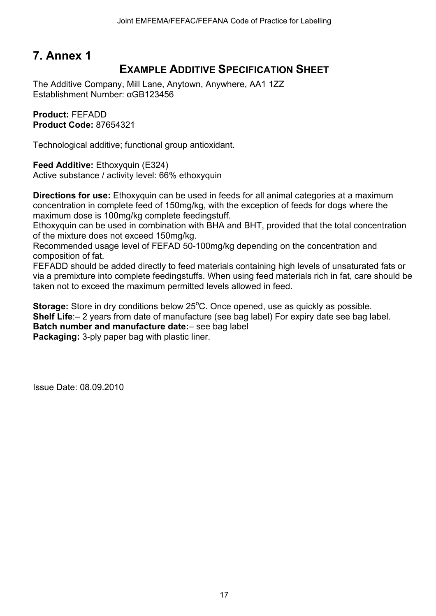## **EXAMPLE ADDITIVE SPECIFICATION SHEET**

The Additive Company, Mill Lane, Anytown, Anywhere, AA1 1ZZ Establishment Number: αGB123456

**Product:** FEFADD **Product Code:** 87654321

Technological additive; functional group antioxidant.

**Feed Additive:** Ethoxyquin (E324) Active substance / activity level: 66% ethoxyquin

**Directions for use:** Ethoxyquin can be used in feeds for all animal categories at a maximum concentration in complete feed of 150mg/kg, with the exception of feeds for dogs where the maximum dose is 100mg/kg complete feedingstuff.

Ethoxyquin can be used in combination with BHA and BHT, provided that the total concentration of the mixture does not exceed 150mg/kg.

Recommended usage level of FEFAD 50-100mg/kg depending on the concentration and composition of fat.

FEFADD should be added directly to feed materials containing high levels of unsaturated fats or via a premixture into complete feedingstuffs. When using feed materials rich in fat, care should be taken not to exceed the maximum permitted levels allowed in feed.

Storage: Store in dry conditions below 25°C. Once opened, use as quickly as possible. **Shelf Life**:– 2 years from date of manufacture (see bag label) For expiry date see bag label. **Batch number and manufacture date:**– see bag label **Packaging:** 3-ply paper bag with plastic liner.

Issue Date: 08.09.2010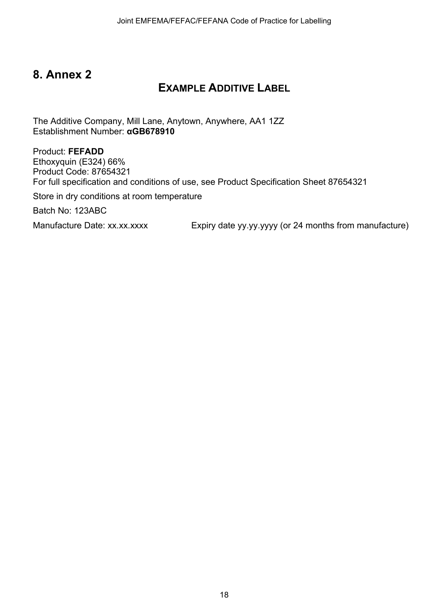## **EXAMPLE ADDITIVE LABEL**

The Additive Company, Mill Lane, Anytown, Anywhere, AA1 1ZZ Establishment Number: **αGB678910** 

Product: **FEFADD**  Ethoxyquin (E324) 66% Product Code: 87654321 For full specification and conditions of use, see Product Specification Sheet 87654321

Store in dry conditions at room temperature

Batch No: 123ABC

Manufacture Date: xx.xx.xxxx Expiry date yy.yy.yyyy (or 24 months from manufacture)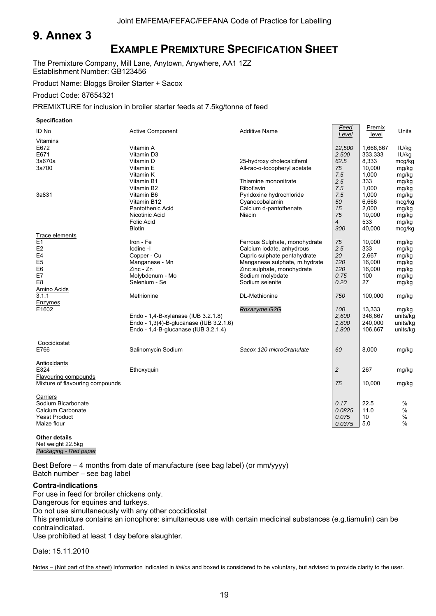### **EXAMPLE PREMIXTURE SPECIFICATION SHEET**

The Premixture Company, Mill Lane, Anytown, Anywhere, AA1 1ZZ Establishment Number: GB123456

Product Name: Bloggs Broiler Starter + Sacox

Product Code: 87654321

PREMIXTURE for inclusion in broiler starter feeds at 7.5kg/tonne of feed

**Specification** 

| ID No                           | <b>Active Component</b>                 | <b>Additive Name</b>          | Feed<br>Level  | Premix<br>level | Units    |
|---------------------------------|-----------------------------------------|-------------------------------|----------------|-----------------|----------|
| Vitamins<br>E672                | Vitamin A                               |                               | 12,500         | 1,666,667       | IU/kg    |
| E671                            | Vitamin D3                              |                               | 2,500          | 333,333         | IU/kg    |
| 3a670a                          | Vitamin D                               | 25-hydroxy cholecalciferol    | 62.5           | 8,333           | mcg/kg   |
| 3a700                           | Vitamin E                               | All-rac-α-tocopheryl acetate  | 75             | 10,000          | mg/kg    |
|                                 | Vitamin K                               |                               | 7.5            | 1,000           | mg/kg    |
|                                 | Vitamin B1                              | Thiamine mononitrate          | 2.5            | 333             | mg/kg    |
|                                 | Vitamin B2                              | Riboflavin                    | 7.5            | 1,000           | mg/kg    |
| 3a831                           | Vitamin B6                              | Pyridoxine hydrochloride      | 7.5            | 1,000           | mg/kg    |
|                                 | Vitamin B12                             | Cyanocobalamin                | 50             | 6,666           | mcg/kg   |
|                                 | Pantothenic Acid                        | Calcium d-pantothenate        | 15             | 2,000           | mg/kg    |
|                                 | Nicotinic Acid                          | Niacin                        | 75             | 10,000          | mg/kg    |
|                                 | <b>Folic Acid</b>                       |                               | $\overline{4}$ | 533             | mg/kg    |
|                                 | <b>Biotin</b>                           |                               | 300            | 40,000          | mcg/kg   |
| Trace elements                  |                                         |                               |                |                 |          |
| E1                              | Iron - Fe                               | Ferrous Sulphate, monohydrate | 75             | 10,000          | mg/kg    |
| E <sub>2</sub>                  | lodine -I                               | Calcium iodate, anhydrous     | 2.5            | 333             | mg/kg    |
| E <sub>4</sub>                  | Copper - Cu                             | Cupric sulphate pentahydrate  | 20             | 2,667           | mg/kg    |
| E <sub>5</sub>                  | Manganese - Mn                          | Manganese sulphate, m.hydrate | 120            | 16,000          | mg/kg    |
| E <sub>6</sub>                  | $Zinc - Zn$                             | Zinc sulphate, monohydrate    | 120            | 16,000          | mg/kg    |
| E7                              | Molybdenum - Mo                         | Sodium molybdate              | 0.75           | 100             | mg/kg    |
| E <sub>8</sub>                  | Selenium - Se                           | Sodium selenite               | 0.20           | 27              | mg/kg    |
| <b>Amino Acids</b>              |                                         |                               |                |                 |          |
| 3.1.1                           | Methionine                              | <b>DL-Methionine</b>          | 750            | 100,000         | mg/kg    |
| Enzymes                         |                                         |                               |                |                 |          |
| E1602                           |                                         | Roxazyme G2G                  | 100            | 13,333          | mg/kg    |
|                                 | Endo - 1,4-B-xylanase (IUB 3.2.1.8)     |                               | 2,600          | 346,667         | units/kg |
|                                 | Endo - 1,3(4)-B-glucanase (IUB 3.2.1.6) |                               | 1,800          | 240,000         | units/kg |
|                                 | Endo - 1,4-B-glucanase (IUB 3.2.1.4)    |                               | 1,800          | 106,667         | units/kg |
|                                 |                                         |                               |                |                 |          |
| Coccidiostat                    |                                         |                               |                |                 |          |
| E766                            | Salinomycin Sodium                      | Sacox 120 microGranulate      | 60             | 8,000           | mg/kg    |
|                                 |                                         |                               |                |                 |          |
| Antioxidants                    |                                         |                               |                |                 |          |
| E324                            | Ethoxyquin                              |                               | $\overline{2}$ | 267             | mg/kg    |
| Flavouring compounds            |                                         |                               |                |                 |          |
| Mixture of flavouring compounds |                                         |                               | 75             | 10,000          | mg/kg    |
|                                 |                                         |                               |                |                 |          |
| Carriers                        |                                         |                               |                |                 |          |
| Sodium Bicarbonate              |                                         |                               | 0.17           | 22.5            | %        |
| Calcium Carbonate               |                                         |                               | 0.0825         | 11.0            | %        |
| <b>Yeast Product</b>            |                                         |                               | 0.075          | 10              | %        |
| Maize flour                     |                                         |                               | 0.0375         | 5.0             | $\%$     |
|                                 |                                         |                               |                |                 |          |

#### **Other details**  Net weight 22.5kg *Packaging - Red paper*

Best Before – 4 months from date of manufacture (see bag label) (or mm/yyyy) Batch number – see bag label

#### **Contra-indications**

For use in feed for broiler chickens only.

Dangerous for equines and turkeys.

Do not use simultaneously with any other coccidiostat

This premixture contains an ionophore: simultaneous use with certain medicinal substances (e.g.tiamulin) can be contraindicated.

Use prohibited at least 1 day before slaughter.

Date: 15.11.2010

Notes – (Not part of the sheet) Information indicated in *italics* and boxed is considered to be voluntary, but advised to provide clarity to the user.